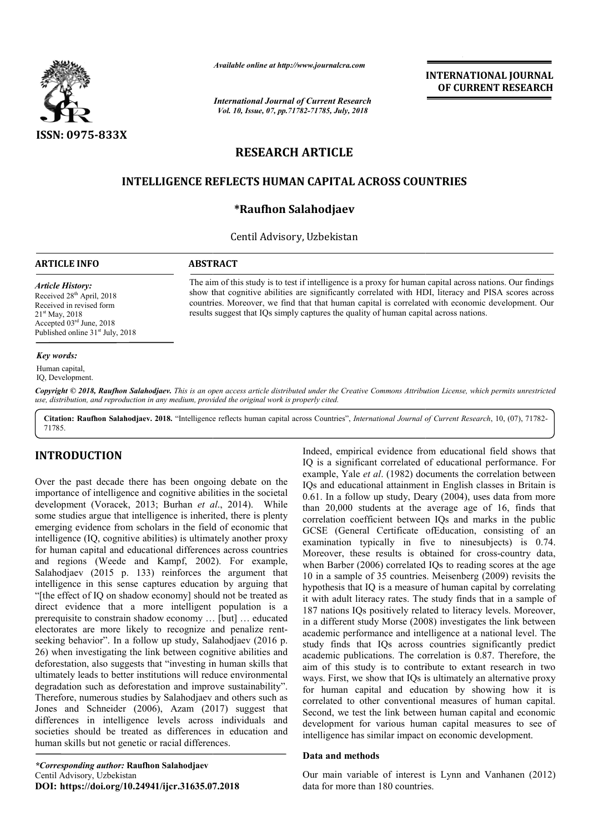

*Available online at http://www.journalcra.com*

*International Journal of Current Research Vol. 10, Issue, 07, pp.71782-71785, July, 2018*

**INTERNATIONAL JOURNAL OF CURRENT RESEARCH**

# **RESEARCH ARTICLE**

## **INTELLIGENCE REFLECTS HUMAN CAPITAL ACROSS COUNTRIES**

## **\*Raufhon Salahodjaev**

#### Centil Advisory, Uzbekistan

### **ARTICLE INFO ABSTRACT**

*Article History:* Received 28<sup>th</sup> April, 2018 Received in revised form 21st May, 2018 Accepted 03rd June, 2018 Published online  $31<sup>st</sup>$  July, 2018

The aim of this study is to test if intelligence is a proxy for human capital across nations. Our findings show that cognitive abilities are significantly correlated with HDI, literacy and PISA scores across countries. Moreover, we find that that human capital is correlated with economic development. Our results suggest that IQs simply captures the quality of human capital across nations. how that cognitive abilities are significantly correlated with HDI, literacy and I<br>countries. Moreover, we find that that human capital is correlated with economic<br>esults suggest that IQs simply captures the quality of hum The aim of this study is to test if intelligence is a proxy for human capital across nations. Our findings show that cognitive abilities are significantly correlated with HDI, literacy and PISA scores across countries. Mor

#### *Key words:*

Human capital, IQ, Development.

Copyright © 2018, Raufhon Salahodjaev. This is an open access article distributed under the Creative Commons Attribution License, which permits unrestrictea *use, distribution, and reproduction in any medium, provided the original work is properly cited.*

Citation: Raufhon Salahodjaev. 2018. "Intelligence reflects human capital across Countries", *International Journal of Current Research*, 10, (07), 71782-71785.

## **INTRODUCTION**

Over the past decade there has been ongoing debate on the importance of intelligence and cognitive abilities in the societal development (Voracek, 2013; Burhan *et al* ., 2014). While some studies argue that intelligence is inherited, there is plenty emerging evidence from scholars in the field of economic that intelligence (IQ, cognitive abilities) is ultimately another proxy for human capital and educational differences across countries and regions (Weede and Kampf, 2002). For example, Salahodjaev (2015 p. 133) reinforces the argument that intelligence in this sense captures education by arguing that "[the effect of IQ on shadow economy] should not be treated as direct evidence that a more intelligent population is a prerequisite to constrain shadow economy … [but] … educated electorates are more likely to recognize and penalize rent seeking behavior". In a follow up study, Salahodjaev (2016 p. 26) when investigating the link between cognitive abilities and deforestation, also suggests that "investing in human skills that ultimately leads to better institutions will reduce environmental degradation such as deforestation and improve sustainability". Therefore, numerous studies by Salahodjaev and others such as Jones and Schneider (2006), Azam (2017) suggest that differences in intelligence levels across individuals and societies should be treated as differences in education and human skills but not genetic or racial differences. lligent population is a<br>omy ... [but] ... educated<br>gnize and penalize rentIndeed, empirical evidence from educational field shows that IQ is a significant correlated of educational performance. For example, Yale *et al*. (1982) documents the correlation between IQs and educational attainment in English classes in Britain is 0.61. In a follow up study, Deary (2004), uses data from more than 20,000 students at the average age of 16, finds that correlation coefficient between IQs and marks in the public GCSE (General Certificate ofEducation, consisting of an examination typically in five to ninesubjects) is 0.74. Moreover, these results is obtained for cross-country data, when Barber (2006) correlated IQs to reading scores at the age 10 in a sample of 35 countries. Meisenberg (2009) revisits the 10 in a sample of 35 countries. Meisenberg (2009) revisits the hypothesis that IQ is a measure of human capital by correlating it with adult literacy rates. The study finds that in a sample of 187 nations IQs positively related to literacy levels. Moreover, in a different study Morse (2008) investigates the link between academic performance and intelligence at a national level. The study finds that IQs across countries significantly predict academic publications. The correlation is 0.87. aim of this study is to contribute to extant research in two ways. First, we show that IQs is ultimately an alternative proxy for human capital and education by showing how it is correlated to other conventional measures of human capital. Second, we test the link between human capital and economic development for various human capital measures to see of intelligence has similar impact on economic development. Indeed, empirical evidence from educational field shows that IQ is a significant correlated of educational performance. For example, Yale *et al.* (1982) documents the correlation between IQs and educational attainment in thesis that IQ is a measure of human capital by correlating<br>th adult literacy rates. The study finds that in a sample of<br>nations IQs positively related to literacy levels. Moreover,<br>different study Morse (2008) investigate performance and intelligence at a national level. The<br>ds that IQs across countries significantly predict<br>publications. The correlation is 0.87. Therefore, the **EXERCIS (CONTRIGER)**<br> **EXERCISE CONTRIGUAL ACROSS COUNTRIES**<br> **EXERCISE CAPITAL ACROSS COUNTRIES**<br> **EXERCISE CAPITAL ACROSS COUNTRIES**<br> **EXERCISE CONTRIES**<br> **EXERCISE CONTRIGUAL MEAT AND ALTAIT CONTRIES**<br> **EXERCISE CONTR** 

#### **Data and methods**

Our main variable of interest is Lynn and Vanhanen (2012) data for more than 180 countries.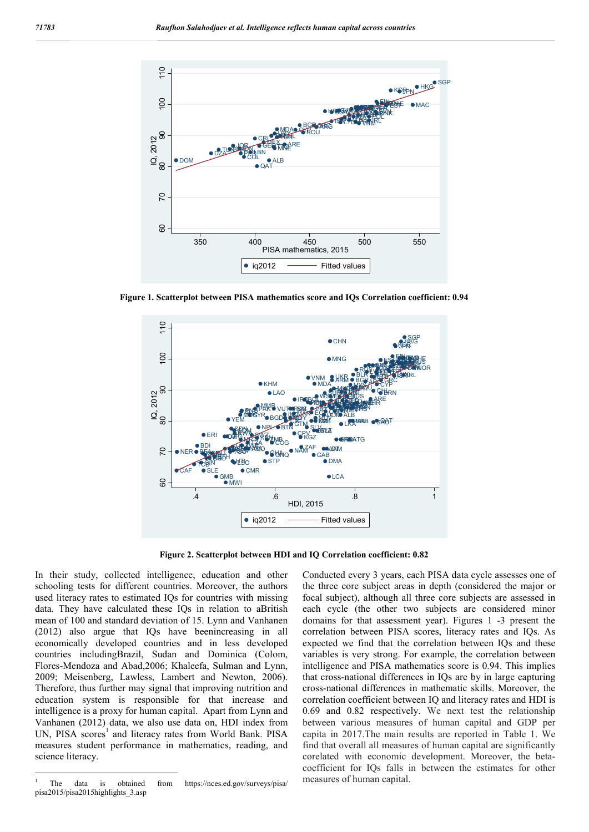

**Figure 1. Scatterplot between PISA mathematics score and IQs Correlation coefficient: 0.94**



**Figure 2. Scatterplot between HDI and IQ Correlation coefficient: 0.82**

In their study, collected intelligence, education and other schooling tests for different countries. Moreover, the authors used literacy rates to estimated IQs for countries with missing data. They have calculated these IQs in relation to aBritish mean of 100 and standard deviation of 15. Lynn and Vanhanen (2012) also argue that IQs have beenincreasing in all economically developed countries and in less developed countries includingBrazil, Sudan and Dominica (Colom, Flores-Mendoza and Abad,2006; Khaleefa, Sulman and Lynn, 2009; Meisenberg, Lawless, Lambert and Newton, 2006). Therefore, thus further may signal that improving nutrition and education system is responsible for that increase and intelligence is a proxy for human capital. Apart from Lynn and Vanhanen (2012) data, we also use data on, HDI index from UN, PISA scores<sup>1</sup> and literacy rates from World Bank. PISA measures student performance in mathematics, reading, and science literacy.

Conducted every 3 years, each PISA data cycle assesses one of the three core subject areas in depth (considered the major or focal subject), although all three core subjects are assessed in each cycle (the other two subjects are considered minor domains for that assessment year). Figures 1 -3 present the correlation between PISA scores, literacy rates and IQs. As expected we find that the correlation between IQs and these variables is very strong. For example, the correlation between intelligence and PISA mathematics score is 0.94. This implies that cross-national differences in IQs are by in large capturing cross-national differences in mathematic skills. Moreover, the correlation coefficient between IQ and literacy rates and HDI is 0.69 and 0.82 respectively. We next test the relationship between various measures of human capital and GDP per capita in 2017.The main results are reported in Table 1. We find that overall all measures of human capital are significantly corelated with economic development. Moreover, the betacoefficient for IQs falls in between the estimates for other measures of human capital.

 <sup>1</sup> The data is obtained from https://nces.ed.gov/surveys/pisa/ pisa2015/pisa2015highlights\_3.asp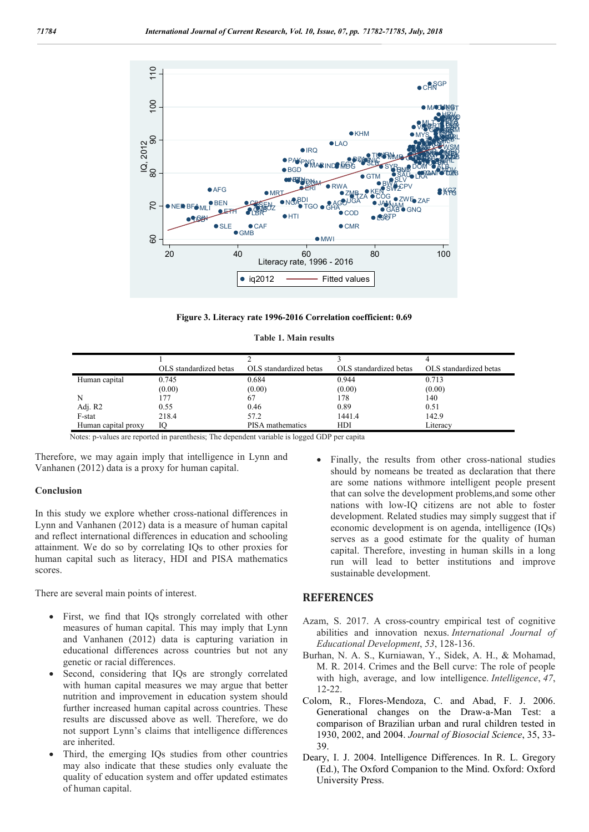

**Figure 3. Literacy rate 1996-2016 Correlation coefficient: 0.69**

|  |  |  | <b>Table 1. Main results</b> |
|--|--|--|------------------------------|
|--|--|--|------------------------------|

|                     | OLS standardized betas | OLS standardized betas  | OLS standardized betas | OLS standardized betas |
|---------------------|------------------------|-------------------------|------------------------|------------------------|
| Human capital       | 0.745                  | 0.684                   | 0.944                  | 0.713                  |
|                     | (0.00)                 | (0.00)                  | (0.00)                 | (0.00)                 |
| N                   |                        | 67                      | 178                    | 140                    |
| Adj. R2             | 0.55                   | 0.46                    | 0.89                   | 0.51                   |
| F-stat              | 218.4                  | 57.2                    | 1441.4                 | 142.9                  |
| Human capital proxy | Ю                      | <b>PISA</b> mathematics | HDI                    | Literacy               |
|                     | $\sim$ $\sim$          | ____<br>.               |                        |                        |

Notes: p-values are reported in parenthesis; The dependent variable is logged GDP per capita

Therefore, we may again imply that intelligence in Lynn and Vanhanen (2012) data is a proxy for human capital.

## **Conclusion**

In this study we explore whether cross-national differences in Lynn and Vanhanen (2012) data is a measure of human capital and reflect international differences in education and schooling attainment. We do so by correlating IQs to other proxies for human capital such as literacy, HDI and PISA mathematics scores.

There are several main points of interest.

- First, we find that IQs strongly correlated with other measures of human capital. This may imply that Lynn and Vanhanen (2012) data is capturing variation in educational differences across countries but not any genetic or racial differences.
- Second, considering that IQs are strongly correlated with human capital measures we may argue that better nutrition and improvement in education system should further increased human capital across countries. These results are discussed above as well. Therefore, we do not support Lynn's claims that intelligence differences are inherited.
- Third, the emerging IQs studies from other countries may also indicate that these studies only evaluate the quality of education system and offer updated estimates of human capital.

 Finally, the results from other cross-national studies should by nomeans be treated as declaration that there are some nations withmore intelligent people present that can solve the development problems,and some other nations with low-IQ citizens are not able to foster development. Related studies may simply suggest that if economic development is on agenda, intelligence (IQs) serves as a good estimate for the quality of human capital. Therefore, investing in human skills in a long run will lead to better institutions and improve sustainable development.

#### **REFERENCES**

- Azam, S. 2017. A cross-country empirical test of cognitive abilities and innovation nexus. *International Journal of Educational Development*, *53*, 128-136.
- Burhan, N. A. S., Kurniawan, Y., Sidek, A. H., & Mohamad, M. R. 2014. Crimes and the Bell curve: The role of people with high, average, and low intelligence. *Intelligence*, *47*, 12-22.
- Colom, R., Flores-Mendoza, C. and Abad, F. J. 2006. Generational changes on the Draw-a-Man Test: a comparison of Brazilian urban and rural children tested in 1930, 2002, and 2004. *Journal of Biosocial Science*, 35, 33- 39.
- Deary, I. J. 2004. Intelligence Differences. In R. L. Gregory (Ed.), The Oxford Companion to the Mind. Oxford: Oxford University Press.